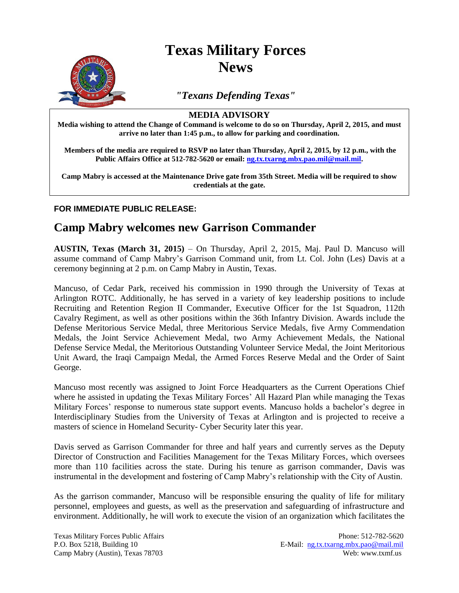

# **Texas Military Forces News**

*"Texans Defending Texas"*

#### **MEDIA ADVISORY**

**Media wishing to attend the Change of Command is welcome to do so on Thursday, April 2, 2015, and must arrive no later than 1:45 p.m., to allow for parking and coordination.** 

**Members of the media are required to RSVP no later than Thursday, April 2, 2015, by 12 p.m., with the Public Affairs Office at 512-782-5620 or email: [ng.tx.txarng.mbx.pao.mil@mail.mil.](mailto:ng.tx.txarng.mbx.pao.mil@mail.mil)** 

**Camp Mabry is accessed at the Maintenance Drive gate from 35th Street. Media will be required to show credentials at the gate.**

### **FOR IMMEDIATE PUBLIC RELEASE:**

## **Camp Mabry welcomes new Garrison Commander**

**AUSTIN, Texas (March 31, 2015)** – On Thursday, April 2, 2015, Maj. Paul D. Mancuso will assume command of Camp Mabry's Garrison Command unit, from Lt. Col. John (Les) Davis at a ceremony beginning at 2 p.m. on Camp Mabry in Austin, Texas.

Mancuso, of Cedar Park, received his commission in 1990 through the University of Texas at Arlington ROTC. Additionally, he has served in a variety of key leadership positions to include Recruiting and Retention Region II Commander, Executive Officer for the 1st Squadron, 112th Cavalry Regiment, as well as other positions within the 36th Infantry Division. Awards include the Defense Meritorious Service Medal, three Meritorious Service Medals, five Army Commendation Medals, the Joint Service Achievement Medal, two Army Achievement Medals, the National Defense Service Medal, the Meritorious Outstanding Volunteer Service Medal, the Joint Meritorious Unit Award, the Iraqi Campaign Medal, the Armed Forces Reserve Medal and the Order of Saint George.

Mancuso most recently was assigned to Joint Force Headquarters as the Current Operations Chief where he assisted in updating the Texas Military Forces' All Hazard Plan while managing the Texas Military Forces' response to numerous state support events. Mancuso holds a bachelor's degree in Interdisciplinary Studies from the University of Texas at Arlington and is projected to receive a masters of science in Homeland Security- Cyber Security later this year.

Davis served as Garrison Commander for three and half years and currently serves as the Deputy Director of Construction and Facilities Management for the Texas Military Forces, which oversees more than 110 facilities across the state. During his tenure as garrison commander, Davis was instrumental in the development and fostering of Camp Mabry's relationship with the City of Austin.

As the garrison commander, Mancuso will be responsible ensuring the quality of life for military personnel, employees and guests, as well as the preservation and safeguarding of infrastructure and environment. Additionally, he will work to execute the vision of an organization which facilitates the